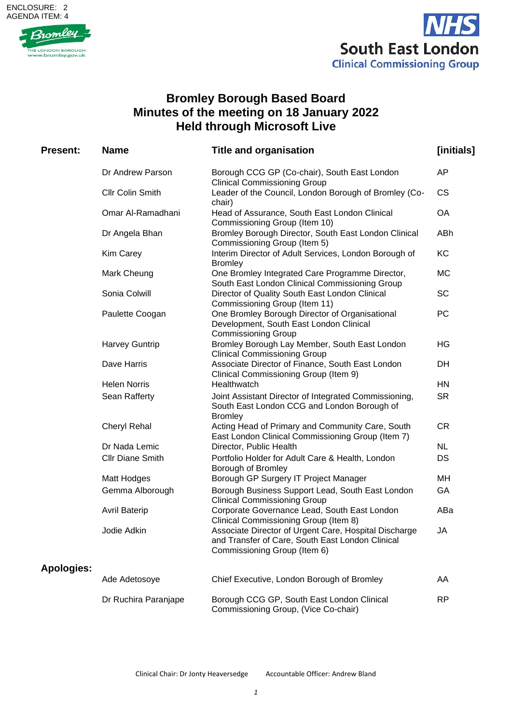## ENCLOSURE: 2 AGENDA ITEM: 4





## **Bromley Borough Based Board Minutes of the meeting on 18 January 2022 Held through Microsoft Live**

| <b>Present:</b>   | <b>Name</b>             | <b>Title and organisation</b>                                                                                                             | [initials] |
|-------------------|-------------------------|-------------------------------------------------------------------------------------------------------------------------------------------|------------|
|                   | Dr Andrew Parson        | Borough CCG GP (Co-chair), South East London<br><b>Clinical Commissioning Group</b>                                                       | AP         |
|                   | <b>Cllr Colin Smith</b> | Leader of the Council, London Borough of Bromley (Co-<br>chair)                                                                           | <b>CS</b>  |
|                   | Omar Al-Ramadhani       | Head of Assurance, South East London Clinical<br>Commissioning Group (Item 10)                                                            | OA         |
|                   | Dr Angela Bhan          | Bromley Borough Director, South East London Clinical<br>Commissioning Group (Item 5)                                                      | ABh        |
|                   | Kim Carey               | Interim Director of Adult Services, London Borough of<br><b>Bromley</b>                                                                   | KC         |
|                   | Mark Cheung             | One Bromley Integrated Care Programme Director,<br>South East London Clinical Commissioning Group                                         | МC         |
|                   | Sonia Colwill           | Director of Quality South East London Clinical<br>Commissioning Group (Item 11)                                                           | <b>SC</b>  |
|                   | Paulette Coogan         | One Bromley Borough Director of Organisational<br>Development, South East London Clinical<br><b>Commissioning Group</b>                   | PC         |
|                   | Harvey Guntrip          | Bromley Borough Lay Member, South East London<br><b>Clinical Commissioning Group</b>                                                      | HG         |
|                   | Dave Harris             | Associate Director of Finance, South East London<br>Clinical Commissioning Group (Item 9)                                                 | <b>DH</b>  |
|                   | <b>Helen Norris</b>     | Healthwatch                                                                                                                               | <b>HN</b>  |
|                   | Sean Rafferty           | Joint Assistant Director of Integrated Commissioning,<br>South East London CCG and London Borough of<br><b>Bromley</b>                    | <b>SR</b>  |
|                   | <b>Cheryl Rehal</b>     | Acting Head of Primary and Community Care, South<br>East London Clinical Commissioning Group (Item 7)                                     | <b>CR</b>  |
|                   | Dr Nada Lemic           | Director, Public Health                                                                                                                   | <b>NL</b>  |
|                   | <b>Cllr Diane Smith</b> | Portfolio Holder for Adult Care & Health, London<br>Borough of Bromley                                                                    | <b>DS</b>  |
|                   | Matt Hodges             | Borough GP Surgery IT Project Manager                                                                                                     | MH         |
|                   | Gemma Alborough         | Borough Business Support Lead, South East London<br><b>Clinical Commissioning Group</b>                                                   | GA         |
|                   | <b>Avril Baterip</b>    | Corporate Governance Lead, South East London<br>Clinical Commissioning Group (Item 8)                                                     | ABa        |
|                   | Jodie Adkin             | Associate Director of Urgent Care, Hospital Discharge<br>and Transfer of Care, South East London Clinical<br>Commissioning Group (Item 6) | JA         |
| <b>Apologies:</b> |                         |                                                                                                                                           |            |
|                   | Ade Adetosoye           | Chief Executive, London Borough of Bromley                                                                                                | AA         |
|                   | Dr Ruchira Paranjape    | Borough CCG GP, South East London Clinical<br>Commissioning Group, (Vice Co-chair)                                                        | <b>RP</b>  |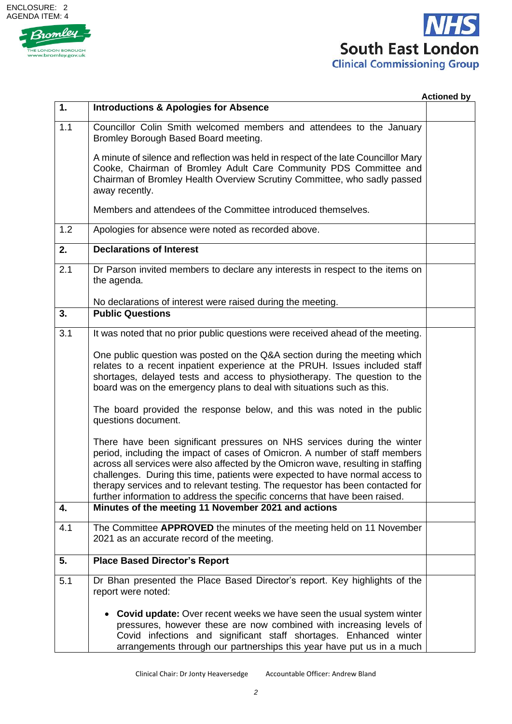



|     |                                                                                                                                                                                                                                                                                                                                                                                                                                                                                               | <b>Actioned by</b> |
|-----|-----------------------------------------------------------------------------------------------------------------------------------------------------------------------------------------------------------------------------------------------------------------------------------------------------------------------------------------------------------------------------------------------------------------------------------------------------------------------------------------------|--------------------|
| 1.  | <b>Introductions &amp; Apologies for Absence</b>                                                                                                                                                                                                                                                                                                                                                                                                                                              |                    |
| 1.1 | Councillor Colin Smith welcomed members and attendees to the January<br>Bromley Borough Based Board meeting.                                                                                                                                                                                                                                                                                                                                                                                  |                    |
|     | A minute of silence and reflection was held in respect of the late Councillor Mary<br>Cooke, Chairman of Bromley Adult Care Community PDS Committee and<br>Chairman of Bromley Health Overview Scrutiny Committee, who sadly passed<br>away recently.                                                                                                                                                                                                                                         |                    |
|     | Members and attendees of the Committee introduced themselves.                                                                                                                                                                                                                                                                                                                                                                                                                                 |                    |
| 1.2 | Apologies for absence were noted as recorded above.                                                                                                                                                                                                                                                                                                                                                                                                                                           |                    |
| 2.  | <b>Declarations of Interest</b>                                                                                                                                                                                                                                                                                                                                                                                                                                                               |                    |
| 2.1 | Dr Parson invited members to declare any interests in respect to the items on<br>the agenda.                                                                                                                                                                                                                                                                                                                                                                                                  |                    |
|     | No declarations of interest were raised during the meeting.                                                                                                                                                                                                                                                                                                                                                                                                                                   |                    |
| 3.  | <b>Public Questions</b>                                                                                                                                                                                                                                                                                                                                                                                                                                                                       |                    |
| 3.1 | It was noted that no prior public questions were received ahead of the meeting.                                                                                                                                                                                                                                                                                                                                                                                                               |                    |
|     | One public question was posted on the Q&A section during the meeting which<br>relates to a recent inpatient experience at the PRUH. Issues included staff<br>shortages, delayed tests and access to physiotherapy. The question to the<br>board was on the emergency plans to deal with situations such as this.                                                                                                                                                                              |                    |
|     | The board provided the response below, and this was noted in the public<br>questions document.                                                                                                                                                                                                                                                                                                                                                                                                |                    |
|     | There have been significant pressures on NHS services during the winter<br>period, including the impact of cases of Omicron. A number of staff members<br>across all services were also affected by the Omicron wave, resulting in staffing<br>challenges. During this time, patients were expected to have normal access to<br>therapy services and to relevant testing. The requestor has been contacted for<br>further information to address the specific concerns that have been raised. |                    |
| 4.  | Minutes of the meeting 11 November 2021 and actions                                                                                                                                                                                                                                                                                                                                                                                                                                           |                    |
| 4.1 | The Committee APPROVED the minutes of the meeting held on 11 November<br>2021 as an accurate record of the meeting.                                                                                                                                                                                                                                                                                                                                                                           |                    |
| 5.  | <b>Place Based Director's Report</b>                                                                                                                                                                                                                                                                                                                                                                                                                                                          |                    |
| 5.1 | Dr Bhan presented the Place Based Director's report. Key highlights of the<br>report were noted:                                                                                                                                                                                                                                                                                                                                                                                              |                    |
|     | • Covid update: Over recent weeks we have seen the usual system winter<br>pressures, however these are now combined with increasing levels of<br>Covid infections and significant staff shortages. Enhanced winter<br>arrangements through our partnerships this year have put us in a much                                                                                                                                                                                                   |                    |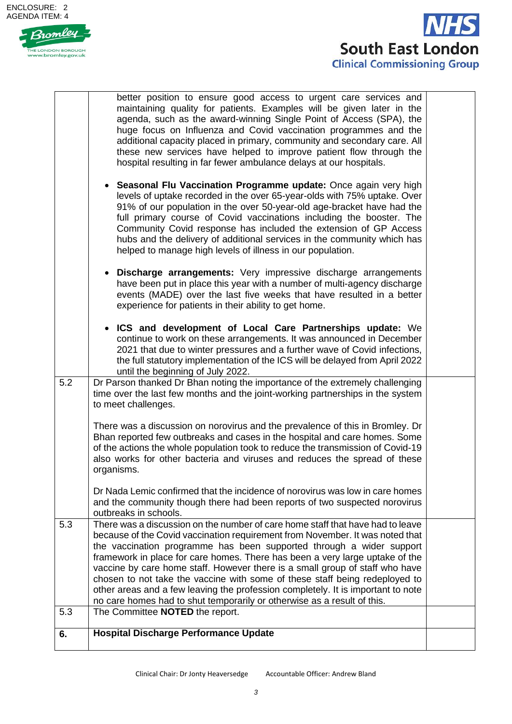



|     | better position to ensure good access to urgent care services and<br>maintaining quality for patients. Examples will be given later in the<br>agenda, such as the award-winning Single Point of Access (SPA), the<br>huge focus on Influenza and Covid vaccination programmes and the<br>additional capacity placed in primary, community and secondary care. All<br>these new services have helped to improve patient flow through the<br>hospital resulting in far fewer ambulance delays at our hospitals.                                                                                                                                         |  |
|-----|-------------------------------------------------------------------------------------------------------------------------------------------------------------------------------------------------------------------------------------------------------------------------------------------------------------------------------------------------------------------------------------------------------------------------------------------------------------------------------------------------------------------------------------------------------------------------------------------------------------------------------------------------------|--|
|     | • Seasonal Flu Vaccination Programme update: Once again very high<br>levels of uptake recorded in the over 65-year-olds with 75% uptake. Over<br>91% of our population in the over 50-year-old age-bracket have had the<br>full primary course of Covid vaccinations including the booster. The<br>Community Covid response has included the extension of GP Access<br>hubs and the delivery of additional services in the community which has<br>helped to manage high levels of illness in our population.                                                                                                                                          |  |
|     | • Discharge arrangements: Very impressive discharge arrangements<br>have been put in place this year with a number of multi-agency discharge<br>events (MADE) over the last five weeks that have resulted in a better<br>experience for patients in their ability to get home.                                                                                                                                                                                                                                                                                                                                                                        |  |
|     | ICS and development of Local Care Partnerships update: We<br>continue to work on these arrangements. It was announced in December<br>2021 that due to winter pressures and a further wave of Covid infections,<br>the full statutory implementation of the ICS will be delayed from April 2022<br>until the beginning of July 2022.                                                                                                                                                                                                                                                                                                                   |  |
| 5.2 | Dr Parson thanked Dr Bhan noting the importance of the extremely challenging<br>time over the last few months and the joint-working partnerships in the system<br>to meet challenges.                                                                                                                                                                                                                                                                                                                                                                                                                                                                 |  |
|     | There was a discussion on norovirus and the prevalence of this in Bromley. Dr<br>Bhan reported few outbreaks and cases in the hospital and care homes. Some<br>of the actions the whole population took to reduce the transmission of Covid-19<br>also works for other bacteria and viruses and reduces the spread of these<br>organisms.                                                                                                                                                                                                                                                                                                             |  |
|     | Dr Nada Lemic confirmed that the incidence of norovirus was low in care homes<br>and the community though there had been reports of two suspected norovirus<br>outbreaks in schools.                                                                                                                                                                                                                                                                                                                                                                                                                                                                  |  |
| 5.3 | There was a discussion on the number of care home staff that have had to leave<br>because of the Covid vaccination requirement from November. It was noted that<br>the vaccination programme has been supported through a wider support<br>framework in place for care homes. There has been a very large uptake of the<br>vaccine by care home staff. However there is a small group of staff who have<br>chosen to not take the vaccine with some of these staff being redeployed to<br>other areas and a few leaving the profession completely. It is important to note<br>no care homes had to shut temporarily or otherwise as a result of this. |  |
| 5.3 | The Committee NOTED the report.<br><b>Hospital Discharge Performance Update</b>                                                                                                                                                                                                                                                                                                                                                                                                                                                                                                                                                                       |  |
| 6.  |                                                                                                                                                                                                                                                                                                                                                                                                                                                                                                                                                                                                                                                       |  |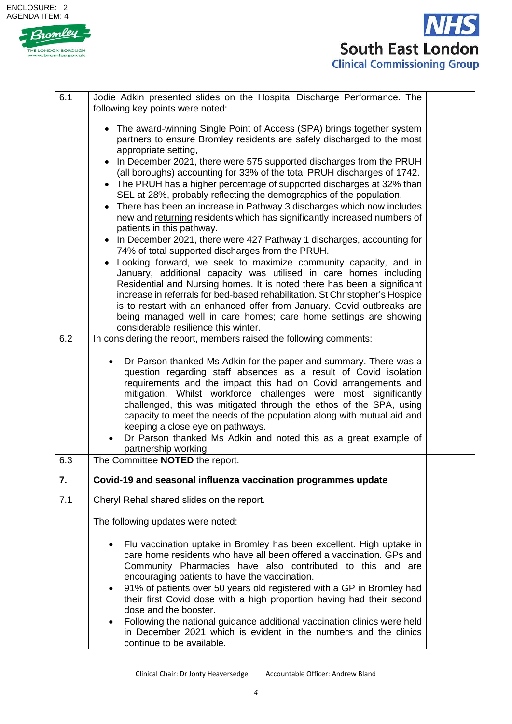



| 6.1 | Jodie Adkin presented slides on the Hospital Discharge Performance. The<br>following key points were noted:                                                                                                                                                                                                                                                                                                                                                                                                                                                                                                                                                                                                                                                                                                                                                                                                                                 |  |
|-----|---------------------------------------------------------------------------------------------------------------------------------------------------------------------------------------------------------------------------------------------------------------------------------------------------------------------------------------------------------------------------------------------------------------------------------------------------------------------------------------------------------------------------------------------------------------------------------------------------------------------------------------------------------------------------------------------------------------------------------------------------------------------------------------------------------------------------------------------------------------------------------------------------------------------------------------------|--|
|     | • The award-winning Single Point of Access (SPA) brings together system<br>partners to ensure Bromley residents are safely discharged to the most<br>appropriate setting,<br>• In December 2021, there were 575 supported discharges from the PRUH<br>(all boroughs) accounting for 33% of the total PRUH discharges of 1742.<br>• The PRUH has a higher percentage of supported discharges at 32% than<br>SEL at 28%, probably reflecting the demographics of the population.<br>• There has been an increase in Pathway 3 discharges which now includes<br>new and returning residents which has significantly increased numbers of<br>patients in this pathway.<br>• In December 2021, there were 427 Pathway 1 discharges, accounting for<br>74% of total supported discharges from the PRUH.<br>• Looking forward, we seek to maximize community capacity, and in<br>January, additional capacity was utilised in care homes including |  |
|     | Residential and Nursing homes. It is noted there has been a significant<br>increase in referrals for bed-based rehabilitation. St Christopher's Hospice<br>is to restart with an enhanced offer from January. Covid outbreaks are<br>being managed well in care homes; care home settings are showing<br>considerable resilience this winter.                                                                                                                                                                                                                                                                                                                                                                                                                                                                                                                                                                                               |  |
| 6.2 | In considering the report, members raised the following comments:                                                                                                                                                                                                                                                                                                                                                                                                                                                                                                                                                                                                                                                                                                                                                                                                                                                                           |  |
| 6.3 | Dr Parson thanked Ms Adkin for the paper and summary. There was a<br>$\bullet$<br>question regarding staff absences as a result of Covid isolation<br>requirements and the impact this had on Covid arrangements and<br>mitigation. Whilst workforce challenges were most significantly<br>challenged, this was mitigated through the ethos of the SPA, using<br>capacity to meet the needs of the population along with mutual aid and<br>keeping a close eye on pathways.<br>Dr Parson thanked Ms Adkin and noted this as a great example of<br>partnership working.<br>The Committee NOTED the report.                                                                                                                                                                                                                                                                                                                                   |  |
|     |                                                                                                                                                                                                                                                                                                                                                                                                                                                                                                                                                                                                                                                                                                                                                                                                                                                                                                                                             |  |
| 7.  | Covid-19 and seasonal influenza vaccination programmes update                                                                                                                                                                                                                                                                                                                                                                                                                                                                                                                                                                                                                                                                                                                                                                                                                                                                               |  |
| 7.1 | Cheryl Rehal shared slides on the report.<br>The following updates were noted:<br>Flu vaccination uptake in Bromley has been excellent. High uptake in<br>care home residents who have all been offered a vaccination. GPs and<br>Community Pharmacies have also contributed to this and are<br>encouraging patients to have the vaccination.<br>91% of patients over 50 years old registered with a GP in Bromley had<br>$\bullet$<br>their first Covid dose with a high proportion having had their second<br>dose and the booster.<br>Following the national guidance additional vaccination clinics were held<br>in December 2021 which is evident in the numbers and the clinics<br>continue to be available.                                                                                                                                                                                                                          |  |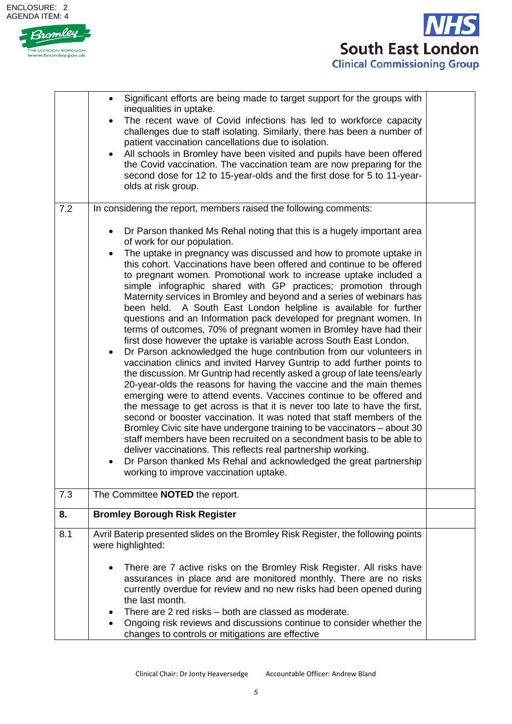



|     | Significant efforts are being made to target support for the groups with<br>inequalities in uptake.<br>The recent wave of Covid infections has led to workforce capacity<br>challenges due to staff isolating. Similarly, there has been a number of<br>patient vaccination cancellations due to isolation.<br>All schools in Bromley have been visited and pupils have been offered<br>$\bullet$<br>the Covid vaccination. The vaccination team are now preparing for the<br>second dose for 12 to 15-year-olds and the first dose for 5 to 11-year-<br>olds at risk group.                                                                                                                                                                                                                                                                                                                                                                                                                                                                                                                                                                                                                                                                                                                                                                                                                                                                                                                                                                                                                                                                     |  |
|-----|--------------------------------------------------------------------------------------------------------------------------------------------------------------------------------------------------------------------------------------------------------------------------------------------------------------------------------------------------------------------------------------------------------------------------------------------------------------------------------------------------------------------------------------------------------------------------------------------------------------------------------------------------------------------------------------------------------------------------------------------------------------------------------------------------------------------------------------------------------------------------------------------------------------------------------------------------------------------------------------------------------------------------------------------------------------------------------------------------------------------------------------------------------------------------------------------------------------------------------------------------------------------------------------------------------------------------------------------------------------------------------------------------------------------------------------------------------------------------------------------------------------------------------------------------------------------------------------------------------------------------------------------------|--|
| 7.2 | In considering the report, members raised the following comments:                                                                                                                                                                                                                                                                                                                                                                                                                                                                                                                                                                                                                                                                                                                                                                                                                                                                                                                                                                                                                                                                                                                                                                                                                                                                                                                                                                                                                                                                                                                                                                                |  |
|     | Dr Parson thanked Ms Rehal noting that this is a hugely important area<br>$\bullet$<br>of work for our population.<br>The uptake in pregnancy was discussed and how to promote uptake in<br>this cohort. Vaccinations have been offered and continue to be offered<br>to pregnant women. Promotional work to increase uptake included a<br>simple infographic shared with GP practices; promotion through<br>Maternity services in Bromley and beyond and a series of webinars has<br>been held. A South East London helpline is available for further<br>questions and an Information pack developed for pregnant women. In<br>terms of outcomes, 70% of pregnant women in Bromley have had their<br>first dose however the uptake is variable across South East London.<br>Dr Parson acknowledged the huge contribution from our volunteers in<br>vaccination clinics and invited Harvey Guntrip to add further points to<br>the discussion. Mr Guntrip had recently asked a group of late teens/early<br>20-year-olds the reasons for having the vaccine and the main themes<br>emerging were to attend events. Vaccines continue to be offered and<br>the message to get across is that it is never too late to have the first,<br>second or booster vaccination. It was noted that staff members of the<br>Bromley Civic site have undergone training to be vaccinators – about 30<br>staff members have been recruited on a secondment basis to be able to<br>deliver vaccinations. This reflects real partnership working.<br>Dr Parson thanked Ms Rehal and acknowledged the great partnership<br>working to improve vaccination uptake. |  |
| 7.3 | The Committee NOTED the report.                                                                                                                                                                                                                                                                                                                                                                                                                                                                                                                                                                                                                                                                                                                                                                                                                                                                                                                                                                                                                                                                                                                                                                                                                                                                                                                                                                                                                                                                                                                                                                                                                  |  |
| 8.  | <b>Bromley Borough Risk Register</b>                                                                                                                                                                                                                                                                                                                                                                                                                                                                                                                                                                                                                                                                                                                                                                                                                                                                                                                                                                                                                                                                                                                                                                                                                                                                                                                                                                                                                                                                                                                                                                                                             |  |
| 8.1 | Avril Baterip presented slides on the Bromley Risk Register, the following points<br>were highlighted:                                                                                                                                                                                                                                                                                                                                                                                                                                                                                                                                                                                                                                                                                                                                                                                                                                                                                                                                                                                                                                                                                                                                                                                                                                                                                                                                                                                                                                                                                                                                           |  |
|     | There are 7 active risks on the Bromley Risk Register. All risks have<br>assurances in place and are monitored monthly. There are no risks<br>currently overdue for review and no new risks had been opened during<br>the last month.                                                                                                                                                                                                                                                                                                                                                                                                                                                                                                                                                                                                                                                                                                                                                                                                                                                                                                                                                                                                                                                                                                                                                                                                                                                                                                                                                                                                            |  |
|     | There are 2 red risks – both are classed as moderate.<br>Ongoing risk reviews and discussions continue to consider whether the<br>changes to controls or mitigations are effective                                                                                                                                                                                                                                                                                                                                                                                                                                                                                                                                                                                                                                                                                                                                                                                                                                                                                                                                                                                                                                                                                                                                                                                                                                                                                                                                                                                                                                                               |  |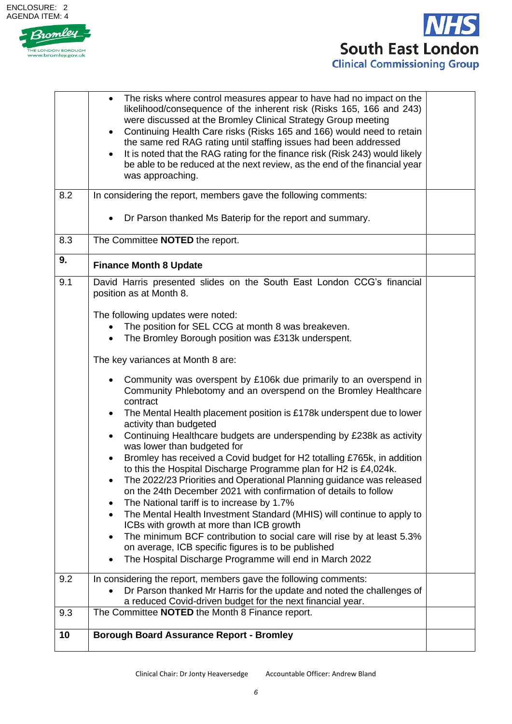



|     | The risks where control measures appear to have had no impact on the<br>likelihood/consequence of the inherent risk (Risks 165, 166 and 243)<br>were discussed at the Bromley Clinical Strategy Group meeting<br>Continuing Health Care risks (Risks 165 and 166) would need to retain<br>$\bullet$<br>the same red RAG rating until staffing issues had been addressed<br>It is noted that the RAG rating for the finance risk (Risk 243) would likely<br>$\bullet$<br>be able to be reduced at the next review, as the end of the financial year<br>was approaching. |  |
|-----|------------------------------------------------------------------------------------------------------------------------------------------------------------------------------------------------------------------------------------------------------------------------------------------------------------------------------------------------------------------------------------------------------------------------------------------------------------------------------------------------------------------------------------------------------------------------|--|
| 8.2 | In considering the report, members gave the following comments:                                                                                                                                                                                                                                                                                                                                                                                                                                                                                                        |  |
|     | Dr Parson thanked Ms Baterip for the report and summary.                                                                                                                                                                                                                                                                                                                                                                                                                                                                                                               |  |
| 8.3 | The Committee NOTED the report.                                                                                                                                                                                                                                                                                                                                                                                                                                                                                                                                        |  |
| 9.  | <b>Finance Month 8 Update</b>                                                                                                                                                                                                                                                                                                                                                                                                                                                                                                                                          |  |
| 9.1 | David Harris presented slides on the South East London CCG's financial<br>position as at Month 8.                                                                                                                                                                                                                                                                                                                                                                                                                                                                      |  |
|     | The following updates were noted:                                                                                                                                                                                                                                                                                                                                                                                                                                                                                                                                      |  |
|     | The position for SEL CCG at month 8 was breakeven.<br>The Bromley Borough position was £313k underspent.<br>$\bullet$                                                                                                                                                                                                                                                                                                                                                                                                                                                  |  |
|     | The key variances at Month 8 are:                                                                                                                                                                                                                                                                                                                                                                                                                                                                                                                                      |  |
|     | Community was overspent by £106k due primarily to an overspend in<br>Community Phlebotomy and an overspend on the Bromley Healthcare<br>contract<br>The Mental Health placement position is £178k underspent due to lower                                                                                                                                                                                                                                                                                                                                              |  |
|     | activity than budgeted                                                                                                                                                                                                                                                                                                                                                                                                                                                                                                                                                 |  |
|     | Continuing Healthcare budgets are underspending by £238k as activity<br>was lower than budgeted for                                                                                                                                                                                                                                                                                                                                                                                                                                                                    |  |
|     | Bromley has received a Covid budget for H2 totalling £765k, in addition<br>to this the Hospital Discharge Programme plan for H2 is £4,024k.                                                                                                                                                                                                                                                                                                                                                                                                                            |  |
|     | The 2022/23 Priorities and Operational Planning guidance was released<br>on the 24th December 2021 with confirmation of details to follow                                                                                                                                                                                                                                                                                                                                                                                                                              |  |
|     | The National tariff is to increase by 1.7%<br>The Mental Health Investment Standard (MHIS) will continue to apply to                                                                                                                                                                                                                                                                                                                                                                                                                                                   |  |
|     | ICBs with growth at more than ICB growth<br>The minimum BCF contribution to social care will rise by at least 5.3%                                                                                                                                                                                                                                                                                                                                                                                                                                                     |  |
|     | on average, ICB specific figures is to be published<br>The Hospital Discharge Programme will end in March 2022                                                                                                                                                                                                                                                                                                                                                                                                                                                         |  |
| 9.2 | In considering the report, members gave the following comments:                                                                                                                                                                                                                                                                                                                                                                                                                                                                                                        |  |
|     | Dr Parson thanked Mr Harris for the update and noted the challenges of<br>a reduced Covid-driven budget for the next financial year.                                                                                                                                                                                                                                                                                                                                                                                                                                   |  |
| 9.3 | The Committee <b>NOTED</b> the Month 8 Finance report.                                                                                                                                                                                                                                                                                                                                                                                                                                                                                                                 |  |
| 10  | <b>Borough Board Assurance Report - Bromley</b>                                                                                                                                                                                                                                                                                                                                                                                                                                                                                                                        |  |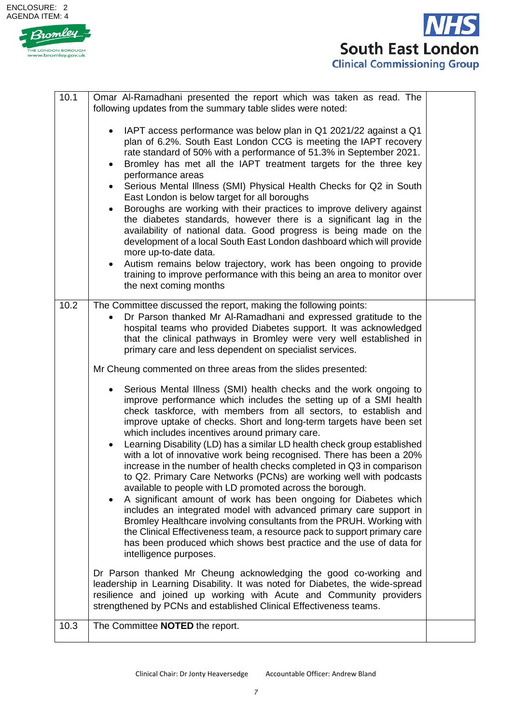



| 10.1 | Omar Al-Ramadhani presented the report which was taken as read. The<br>following updates from the summary table slides were noted:                                                                                                                                                                                                                                                                                                                                                                                                                                                                                                                                                                                                                                                                                                                                                                                                                                                                                                                                                                                           |  |
|------|------------------------------------------------------------------------------------------------------------------------------------------------------------------------------------------------------------------------------------------------------------------------------------------------------------------------------------------------------------------------------------------------------------------------------------------------------------------------------------------------------------------------------------------------------------------------------------------------------------------------------------------------------------------------------------------------------------------------------------------------------------------------------------------------------------------------------------------------------------------------------------------------------------------------------------------------------------------------------------------------------------------------------------------------------------------------------------------------------------------------------|--|
|      | IAPT access performance was below plan in Q1 2021/22 against a Q1<br>$\bullet$<br>plan of 6.2%. South East London CCG is meeting the IAPT recovery<br>rate standard of 50% with a performance of 51.3% in September 2021.<br>Bromley has met all the IAPT treatment targets for the three key<br>٠<br>performance areas<br>Serious Mental Illness (SMI) Physical Health Checks for Q2 in South<br>$\bullet$<br>East London is below target for all boroughs<br>Boroughs are working with their practices to improve delivery against<br>$\bullet$<br>the diabetes standards, however there is a significant lag in the<br>availability of national data. Good progress is being made on the<br>development of a local South East London dashboard which will provide<br>more up-to-date data.<br>Autism remains below trajectory, work has been ongoing to provide<br>$\bullet$<br>training to improve performance with this being an area to monitor over<br>the next coming months                                                                                                                                         |  |
| 10.2 | The Committee discussed the report, making the following points:<br>Dr Parson thanked Mr Al-Ramadhani and expressed gratitude to the<br>hospital teams who provided Diabetes support. It was acknowledged<br>that the clinical pathways in Bromley were very well established in<br>primary care and less dependent on specialist services.                                                                                                                                                                                                                                                                                                                                                                                                                                                                                                                                                                                                                                                                                                                                                                                  |  |
|      | Mr Cheung commented on three areas from the slides presented:                                                                                                                                                                                                                                                                                                                                                                                                                                                                                                                                                                                                                                                                                                                                                                                                                                                                                                                                                                                                                                                                |  |
|      | Serious Mental Illness (SMI) health checks and the work ongoing to<br>$\bullet$<br>improve performance which includes the setting up of a SMI health<br>check taskforce, with members from all sectors, to establish and<br>improve uptake of checks. Short and long-term targets have been set<br>which includes incentives around primary care.<br>Learning Disability (LD) has a similar LD health check group established<br>$\bullet$<br>with a lot of innovative work being recognised. There has been a 20%<br>increase in the number of health checks completed in Q3 in comparison<br>to Q2. Primary Care Networks (PCNs) are working well with podcasts<br>available to people with LD promoted across the borough.<br>A significant amount of work has been ongoing for Diabetes which<br>includes an integrated model with advanced primary care support in<br>Bromley Healthcare involving consultants from the PRUH. Working with<br>the Clinical Effectiveness team, a resource pack to support primary care<br>has been produced which shows best practice and the use of data for<br>intelligence purposes. |  |
|      | Dr Parson thanked Mr Cheung acknowledging the good co-working and<br>leadership in Learning Disability. It was noted for Diabetes, the wide-spread<br>resilience and joined up working with Acute and Community providers<br>strengthened by PCNs and established Clinical Effectiveness teams.                                                                                                                                                                                                                                                                                                                                                                                                                                                                                                                                                                                                                                                                                                                                                                                                                              |  |
| 10.3 | The Committee NOTED the report.                                                                                                                                                                                                                                                                                                                                                                                                                                                                                                                                                                                                                                                                                                                                                                                                                                                                                                                                                                                                                                                                                              |  |
|      |                                                                                                                                                                                                                                                                                                                                                                                                                                                                                                                                                                                                                                                                                                                                                                                                                                                                                                                                                                                                                                                                                                                              |  |